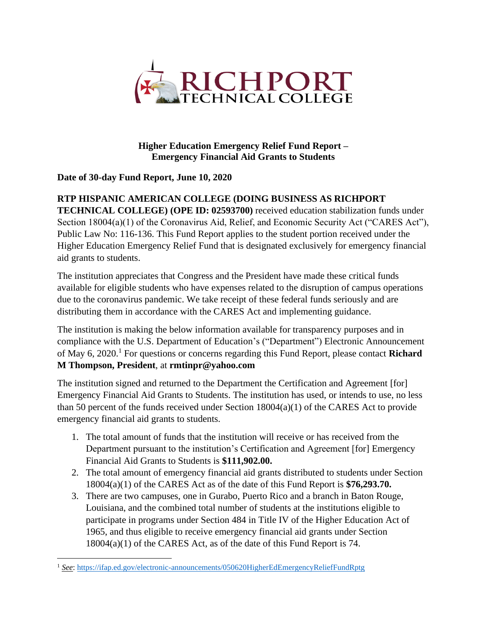

**Higher Education Emergency Relief Fund Report – Emergency Financial Aid Grants to Students**

#### **Date of 30-day Fund Report, June 10, 2020**

### **RTP HISPANIC AMERICAN COLLEGE (DOING BUSINESS AS RICHPORT**

**TECHNICAL COLLEGE) (OPE ID: 02593700)** received education stabilization funds under Section 18004(a)(1) of the Coronavirus Aid, Relief, and Economic Security Act ("CARES Act"), Public Law No: 116-136. This Fund Report applies to the student portion received under the Higher Education Emergency Relief Fund that is designated exclusively for emergency financial aid grants to students.

The institution appreciates that Congress and the President have made these critical funds available for eligible students who have expenses related to the disruption of campus operations due to the coronavirus pandemic. We take receipt of these federal funds seriously and are distributing them in accordance with the CARES Act and implementing guidance.

The institution is making the below information available for transparency purposes and in compliance with the U.S. Department of Education's ("Department") Electronic Announcement of May 6, 2020. <sup>1</sup> For questions or concerns regarding this Fund Report, please contact **Richard M Thompson, President**, at **rmtinpr@yahoo.com**

The institution signed and returned to the Department the Certification and Agreement [for] Emergency Financial Aid Grants to Students. The institution has used, or intends to use, no less than 50 percent of the funds received under Section 18004(a)(1) of the CARES Act to provide emergency financial aid grants to students.

- 1. The total amount of funds that the institution will receive or has received from the Department pursuant to the institution's Certification and Agreement [for] Emergency Financial Aid Grants to Students is **\$111,902.00.**
- 2. The total amount of emergency financial aid grants distributed to students under Section 18004(a)(1) of the CARES Act as of the date of this Fund Report is **\$76,293.70.**
- 3. There are two campuses, one in Gurabo, Puerto Rico and a branch in Baton Rouge, Louisiana, and the combined total number of students at the institutions eligible to participate in programs under Section 484 in Title IV of the Higher Education Act of 1965, and thus eligible to receive emergency financial aid grants under Section 18004(a)(1) of the CARES Act, as of the date of this Fund Report is 74.

<sup>1</sup> *See*:<https://ifap.ed.gov/electronic-announcements/050620HigherEdEmergencyReliefFundRptg>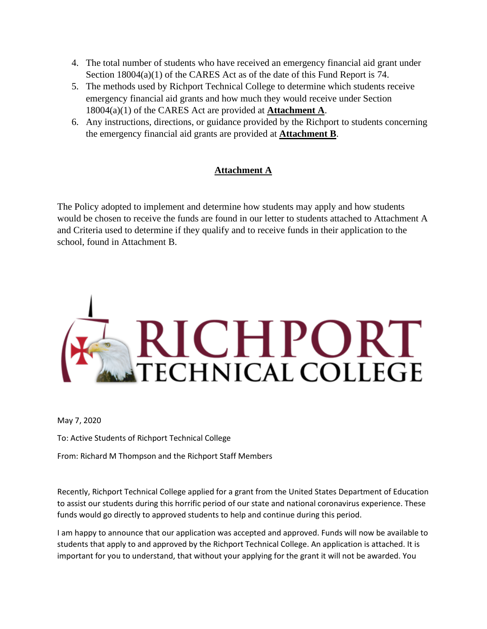- 4. The total number of students who have received an emergency financial aid grant under Section 18004(a)(1) of the CARES Act as of the date of this Fund Report is 74.
- 5. The methods used by Richport Technical College to determine which students receive emergency financial aid grants and how much they would receive under Section 18004(a)(1) of the CARES Act are provided at **Attachment A**.
- 6. Any instructions, directions, or guidance provided by the Richport to students concerning the emergency financial aid grants are provided at **Attachment B**.

### **Attachment A**

The Policy adopted to implement and determine how students may apply and how students would be chosen to receive the funds are found in our letter to students attached to Attachment A and Criteria used to determine if they qualify and to receive funds in their application to the school, found in Attachment B.



May 7, 2020

To: Active Students of Richport Technical College

From: Richard M Thompson and the Richport Staff Members

Recently, Richport Technical College applied for a grant from the United States Department of Education to assist our students during this horrific period of our state and national coronavirus experience. These funds would go directly to approved students to help and continue during this period.

I am happy to announce that our application was accepted and approved. Funds will now be available to students that apply to and approved by the Richport Technical College. An application is attached. It is important for you to understand, that without your applying for the grant it will not be awarded. You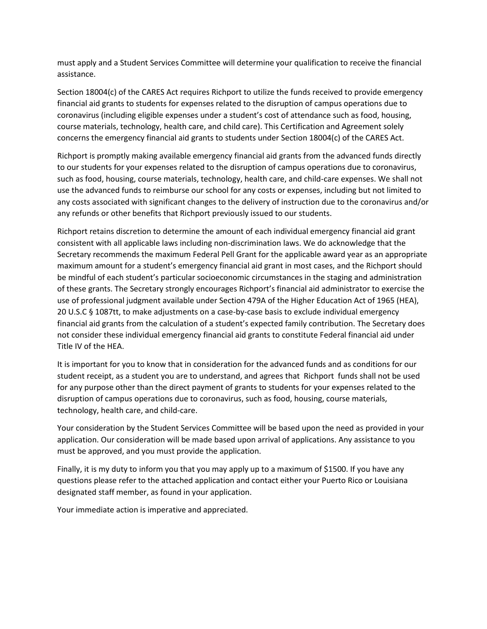must apply and a Student Services Committee will determine your qualification to receive the financial assistance.

Section 18004(c) of the CARES Act requires Richport to utilize the funds received to provide emergency financial aid grants to students for expenses related to the disruption of campus operations due to coronavirus (including eligible expenses under a student's cost of attendance such as food, housing, course materials, technology, health care, and child care). This Certification and Agreement solely concerns the emergency financial aid grants to students under Section 18004(c) of the CARES Act.

Richport is promptly making available emergency financial aid grants from the advanced funds directly to our students for your expenses related to the disruption of campus operations due to coronavirus, such as food, housing, course materials, technology, health care, and child-care expenses. We shall not use the advanced funds to reimburse our school for any costs or expenses, including but not limited to any costs associated with significant changes to the delivery of instruction due to the coronavirus and/or any refunds or other benefits that Richport previously issued to our students.

Richport retains discretion to determine the amount of each individual emergency financial aid grant consistent with all applicable laws including non-discrimination laws. We do acknowledge that the Secretary recommends the maximum Federal Pell Grant for the applicable award year as an appropriate maximum amount for a student's emergency financial aid grant in most cases, and the Richport should be mindful of each student's particular socioeconomic circumstances in the staging and administration of these grants. The Secretary strongly encourages Richport's financial aid administrator to exercise the use of professional judgment available under Section 479A of the Higher Education Act of 1965 (HEA), 20 U.S.C § 1087tt, to make adjustments on a case-by-case basis to exclude individual emergency financial aid grants from the calculation of a student's expected family contribution. The Secretary does not consider these individual emergency financial aid grants to constitute Federal financial aid under Title IV of the HEA.

It is important for you to know that in consideration for the advanced funds and as conditions for our student receipt, as a student you are to understand, and agrees that Richport funds shall not be used for any purpose other than the direct payment of grants to students for your expenses related to the disruption of campus operations due to coronavirus, such as food, housing, course materials, technology, health care, and child-care.

Your consideration by the Student Services Committee will be based upon the need as provided in your application. Our consideration will be made based upon arrival of applications. Any assistance to you must be approved, and you must provide the application.

Finally, it is my duty to inform you that you may apply up to a maximum of \$1500. If you have any questions please refer to the attached application and contact either your Puerto Rico or Louisiana designated staff member, as found in your application.

Your immediate action is imperative and appreciated.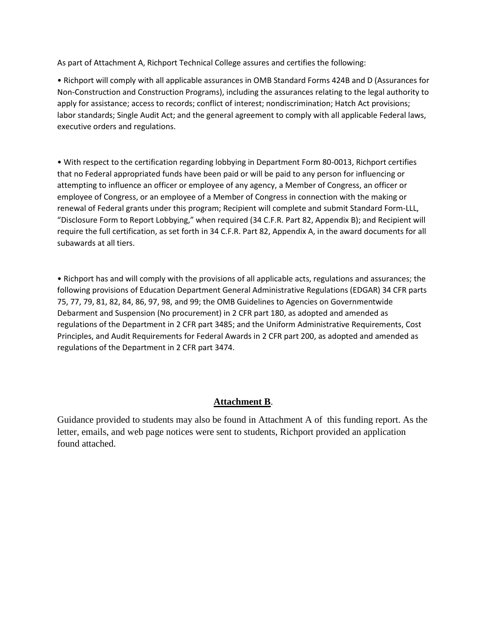As part of Attachment A, Richport Technical College assures and certifies the following:

• Richport will comply with all applicable assurances in OMB Standard Forms 424B and D (Assurances for Non-Construction and Construction Programs), including the assurances relating to the legal authority to apply for assistance; access to records; conflict of interest; nondiscrimination; Hatch Act provisions; labor standards; Single Audit Act; and the general agreement to comply with all applicable Federal laws, executive orders and regulations.

• With respect to the certification regarding lobbying in Department Form 80-0013, Richport certifies that no Federal appropriated funds have been paid or will be paid to any person for influencing or attempting to influence an officer or employee of any agency, a Member of Congress, an officer or employee of Congress, or an employee of a Member of Congress in connection with the making or renewal of Federal grants under this program; Recipient will complete and submit Standard Form-LLL, "Disclosure Form to Report Lobbying," when required (34 C.F.R. Part 82, Appendix B); and Recipient will require the full certification, as set forth in 34 C.F.R. Part 82, Appendix A, in the award documents for all subawards at all tiers.

• Richport has and will comply with the provisions of all applicable acts, regulations and assurances; the following provisions of Education Department General Administrative Regulations (EDGAR) 34 CFR parts 75, 77, 79, 81, 82, 84, 86, 97, 98, and 99; the OMB Guidelines to Agencies on Governmentwide Debarment and Suspension (No procurement) in 2 CFR part 180, as adopted and amended as regulations of the Department in 2 CFR part 3485; and the Uniform Administrative Requirements, Cost Principles, and Audit Requirements for Federal Awards in 2 CFR part 200, as adopted and amended as regulations of the Department in 2 CFR part 3474.

#### **Attachment B**.

Guidance provided to students may also be found in Attachment A of this funding report. As the letter, emails, and web page notices were sent to students, Richport provided an application found attached.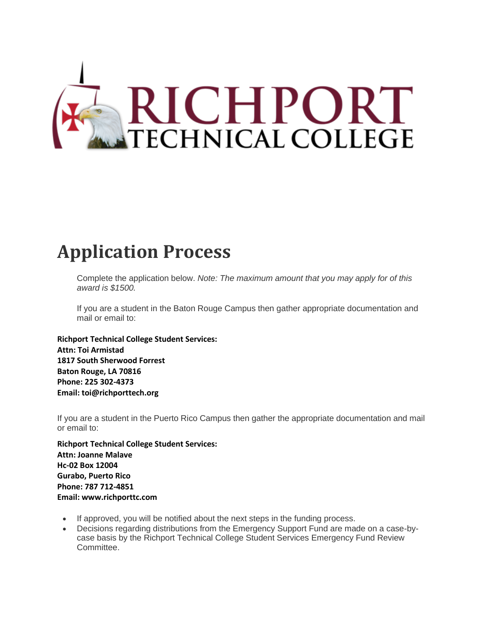

# **Application Process**

Complete the application below. *Note: The maximum amount that you may apply for of this award is \$1500.*

If you are a student in the Baton Rouge Campus then gather appropriate documentation and mail or email to:

**Richport Technical College Student Services: Attn: Toi Armistad 1817 South Sherwood Forrest Baton Rouge, LA 70816 Phone: 225 302-4373 Email: toi@richporttech.org**

If you are a student in the Puerto Rico Campus then gather the appropriate documentation and mail or email to:

**Richport Technical College Student Services: Attn: Joanne Malave Hc-02 Box 12004 Gurabo, Puerto Rico Phone: 787 712-4851 Email: www.richporttc.com**

- If approved, you will be notified about the next steps in the funding process.
- Decisions regarding distributions from the Emergency Support Fund are made on a case-bycase basis by the Richport Technical College Student Services Emergency Fund Review Committee.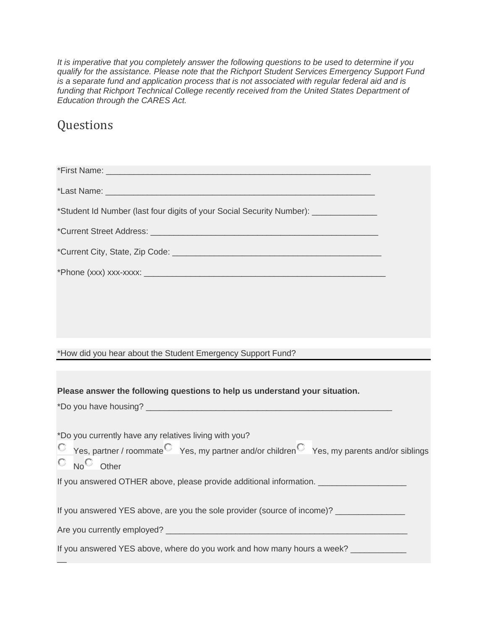*It is imperative that you completely answer the following questions to be used to determine if you qualify for the assistance. Please note that the Richport Student Services Emergency Support Fund is a separate fund and application process that is not associated with regular federal aid and is funding that Richport Technical College recently received from the United States Department of Education through the CARES Act.*

## Questions

| *Student Id Number (last four digits of your Social Security Number): ___________                                                                  |
|----------------------------------------------------------------------------------------------------------------------------------------------------|
|                                                                                                                                                    |
|                                                                                                                                                    |
|                                                                                                                                                    |
|                                                                                                                                                    |
|                                                                                                                                                    |
|                                                                                                                                                    |
| *How did you hear about the Student Emergency Support Fund?                                                                                        |
|                                                                                                                                                    |
| Please answer the following questions to help us understand your situation.                                                                        |
|                                                                                                                                                    |
|                                                                                                                                                    |
| *Do you currently have any relatives living with you?<br>C Yes, partner / roommate Yes, my partner and/or children Yes, my parents and/or siblings |
| $\circ$ No $\circ$ Other<br>If you answered OTHER above, please provide additional information. ___________________                                |
| If you answered YES above, are you the sole provider (source of income)? _____________                                                             |
|                                                                                                                                                    |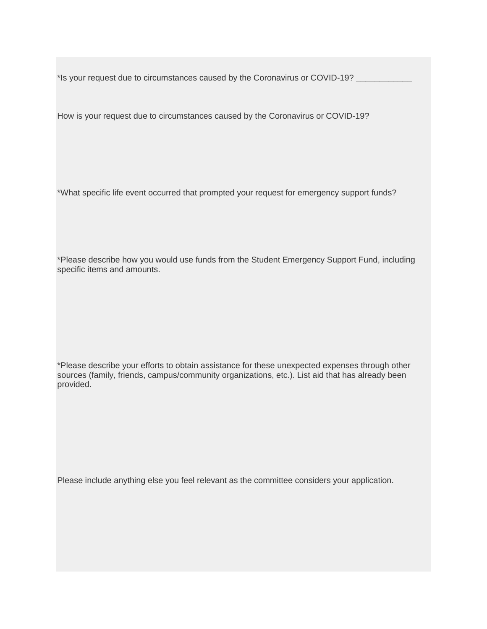\*Is your request due to circumstances caused by the Coronavirus or COVID-19? \_\_\_\_\_\_\_\_\_\_\_\_

How is your request due to circumstances caused by the Coronavirus or COVID-19?

\*What specific life event occurred that prompted your request for emergency support funds?

\*Please describe how you would use funds from the Student Emergency Support Fund, including specific items and amounts.

\*Please describe your efforts to obtain assistance for these unexpected expenses through other sources (family, friends, campus/community organizations, etc.). List aid that has already been provided.

Please include anything else you feel relevant as the committee considers your application.